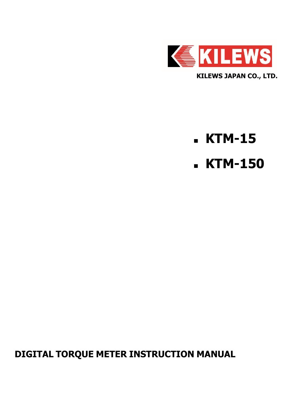

# **KTM-15**

**KTM-150**

**DIGITAL TORQUE METER INSTRUCTION MANUAL**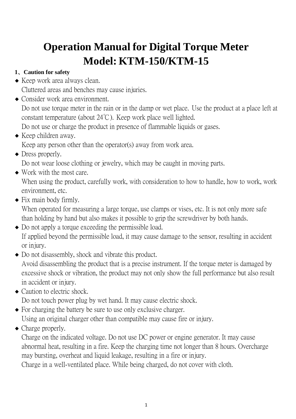# **Operation Manual for Digital Torque Meter Model: KTM-150/KTM-15**

# **1**、**Caution for safety**

- Keep work area always clean. Cluttered areas and benches may cause injuries.
- Consider work area environment.

Do not use torque meter in the rain or in the damp or wet place. Use the product at a place left at constant temperature (about 24℃). Keep work place well lighted.

Do not use or charge the product in presence of flammable liquids or gases.

- Keep children away. Keep any person other than the operator(s) away from work area.
	- Dress properly.

Do not wear loose clothing or jewelry, which may be caught in moving parts.

• Work with the most care.

When using the product, carefully work, with consideration to how to handle, how to work, work environment, etc.

- Fix main body firmly.

When operated for measuring a large torque, use clamps or vises, etc. It is not only more safe than holding by hand but also makes it possible to grip the screwdriver by both hands.

- Do not apply a torque exceeding the permissible load. If applied beyond the permissible load, it may cause damage to the sensor, resulting in accident or injury.
- Do not disassembly, shock and vibrate this product.

Avoid disassembling the product that is a precise instrument. If the torque meter is damaged by excessive shock or vibration, the product may not only show the full performance but also result in accident or injury.

- Caution to electric shock.

Do not touch power plug by wet hand. It may cause electric shock.

- For charging the battery be sure to use only exclusive charger.

Using an original charger other than compatible may cause fire or injury.

• Charge properly.

Charge on the indicated voltage. Do not use DC power or engine generator. It may cause abnormal heat, resulting in a fire. Keep the charging time not longer than 8 hours. Overcharge may bursting, overheat and liquid leakage, resulting in a fire or injury.

Charge in a well-ventilated place. While being charged, do not cover with cloth.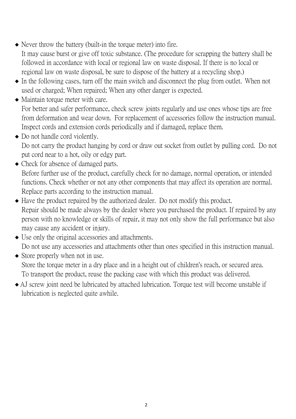- Never throw the battery (built-in the torque meter) into fire. It may cause burst or give off toxic substance. (The procedure for scrapping the battery shall be followed in accordance with local or regional law on waste disposal. If there is no local or regional law on waste disposal, be sure to dispose of the battery at a recycling shop.)
- In the following cases, turn off the main switch and disconnect the plug from outlet. When not used or charged; When repaired; When any other danger is expected.
- Maintain torque meter with care. For better and safer performance, check screw joints regularly and use ones whose tips are free from deformation and wear down. For replacement of accessories follow the instruction manual. Inspect cords and extension cords periodically and if damaged, replace them.
- Do not handle cord violently. Do not carry the product hanging by cord or draw out socket from outlet by pulling cord. Do not put cord near to a hot, oily or edgy part.
- Check for absence of damaged parts. Before further use of the product, carefully check for no damage, normal operation, or intended functions. Check whether or not any other components that may affect its operation are normal. Replace parts according to the instruction manual.
- Have the product repaired by the authorized dealer. Do not modify this product. Repair should be made always by the dealer where you purchased the product. If repaired by any person with no knowledge or skills of repair, it may not only show the full performance but also may cause any accident or injury.
- Use only the original accessories and attachments. Do not use any accessories and attachments other than ones specified in this instruction manual.
- Store properly when not in use. Store the torque meter in a dry place and in a height out of children's reach, or secured area. To transport the product, reuse the packing case with which this product was delivered.
- AJ screw joint need be lubricated by attached lubrication. Torque test will become unstable if lubrication is neglected quite awhile.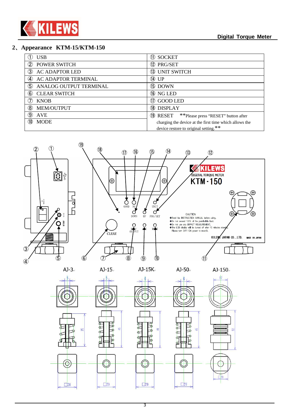

#### **Digital Torque Meter**

#### **2**、**Appearance KTM-15/KTM-150**

 $\odot$ 

 $\square$ 20

 $\square$ 20

| <b>USB</b>                               | 11 SOCKET                                                    |
|------------------------------------------|--------------------------------------------------------------|
| <b>POWER SWITCH</b><br>$\circled{2}$     | 12 PRG/SET                                                   |
| <b>AC ADAPTOR LED</b><br>3)              | 13 UNIT SWITCH                                               |
| <b>AC ADAPTOR TERMINAL</b><br>$\bf(4)$   | $(14)$ UP                                                    |
| (5)<br>ANALOG OUTPUT TERMINAL            | <b>(15) DOWN</b>                                             |
| $\left( 6\right)$<br><b>CLEAR SWITCH</b> | <b>(16)</b> NG LED                                           |
| <b>KNOB</b>                              | 10 GOOD LED                                                  |
| MEM/OUTPUT<br>$\left( 8\right)$          | <b>(18) DISPLAY</b>                                          |
| (9)<br><b>AVE</b>                        | **Please press "RESET" button after<br><sup>(19)</sup> RESET |
| <b>MODE</b><br>(10)                      | charging the device at the first time which allows the       |
|                                          | device restore to original setting.**                        |



 $\circledcirc$ 

 $\square$ 20

 $\sigma$ 

 $\triangleright$ 

 $\square$ 20

 $\sigma$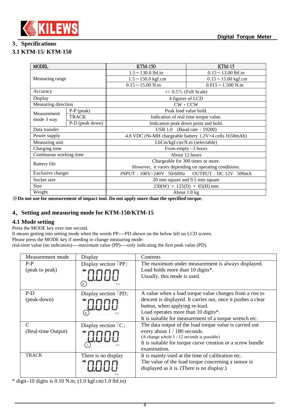

## **3**、**Specifications**

## **3.1 KTM-15/ KTM-150**

| <b>MODEL</b>                                                            |                 | <b>KTM-150</b>                                        | <b>KTM-15</b>            |  |
|-------------------------------------------------------------------------|-----------------|-------------------------------------------------------|--------------------------|--|
|                                                                         |                 | $1.5 \sim 130.0$ lbf.in                               | $0.15 \sim 13.00$ lbf.in |  |
| Measuring range                                                         |                 | $1.5 \sim 150.0$ kgf.cm                               | $0.15 \sim 15.00$ kgf.cm |  |
|                                                                         |                 | $0.15 \sim 15.00$ N.m                                 | $0.015 \sim 1.500$ N.m   |  |
| Accuracy                                                                |                 | $+/- 0.5\%$ (Full Scale)                              |                          |  |
| Display                                                                 |                 | 4 figures of LCD                                      |                          |  |
| Measuring direction                                                     |                 | $CW \cdot CCW$                                        |                          |  |
| Measurement                                                             | $P-P$ (peak)    | Peak load value hold.                                 |                          |  |
| mode 3 way                                                              | <b>TRACK</b>    | Indication of real time torque value.                 |                          |  |
|                                                                         | P-D (peak down) | Indication peak down point and hold.                  |                          |  |
| Data transfer                                                           |                 | USB 1.0 (Baud rate: 19200)                            |                          |  |
| 4.8 VDC (Ni-MH chargeable battery 1.2V×4 cells 1650mAh)<br>Power supply |                 |                                                       |                          |  |
| Measuring unit                                                          |                 | Lbf.in/kgf.cm/N.m (selectable)                        |                          |  |
| Charging time                                                           |                 | From empty $-3$ hours                                 |                          |  |
| Continuous working time                                                 |                 | About 12 hours                                        |                          |  |
|                                                                         |                 | Chargeable for 300 times or more.                     |                          |  |
| Battery life                                                            |                 | However, it varies depending on operating conditions. |                          |  |
| Exclusive charger<br>$INPUT : 100V~240V$ 50/60Hz                        |                 | OUTPUT : DC 12V 500mA                                 |                          |  |
| Socket size<br>20 mm square and 9.5 mm square                           |                 |                                                       |                          |  |
| $230(W) \times 125(D) \times 65(H)$ mm<br>Size                          |                 |                                                       |                          |  |
| Weight                                                                  | About 1.8 kg    |                                                       |                          |  |

※**Do not use for measurement of impact tool. Do not apply more than the specified torque.** 

## **4**、**Setting and measuring mode for KTM-150/KTM-15**

## **4.1 Mode setting**

Press the MODE key over one second.

It means getting into setting mode when the words PP----PD shown on the below left on LCD screen. Please press the MODE key if needing to change measuring mode: real-time value (no indication)----maximum value (PP)----only indicating the first peak value (PD).

| Measurement mode   | Display                            | Contents                                                     |
|--------------------|------------------------------------|--------------------------------------------------------------|
| $P-P$              | Display section $[PP]$             | The maximum under measurement is always displayed.           |
| (peak to peak)     |                                    | Load holds more than 10 digits*.                             |
|                    |                                    | Usually, this mode is used.                                  |
|                    | $\binom{pp}{}$<br>$N \cdot m$      |                                                              |
| $P-D$              | Display section [PD]               | A value when a load torque value changes from a rise to      |
| (peak-down)        |                                    | descent is displayed. It carries out, once it pushes a clear |
|                    |                                    | button, when applying re-load.                               |
|                    | PD<br>$N \cdot m$                  | Load operates more than 10 digits*.                          |
|                    |                                    | It is suitable for measurement of a torque wrench etc.       |
| C                  | Display section $\lceil C \rfloor$ | The data output of the load torque value is carried out      |
| (Real-time Output) |                                    | every about 1 / 180 seconds.                                 |
|                    |                                    | (A change whole 1/12 seconds is possible)                    |
|                    |                                    | It is suitable for torque curve creation or a screw bundle   |
|                    |                                    | examination.                                                 |
| <b>TRACK</b>       | There is no display                | It is mainly used at the time of calibration etc.            |
|                    |                                    | The value of the load torque concerning a sensor is          |
|                    |                                    | displayed as it is. (There is no display.)                   |
|                    |                                    |                                                              |

\* digit–10 digits is  $0.10$  N.m.  $(1.0$  kgf.cm/1.0 lbf.in)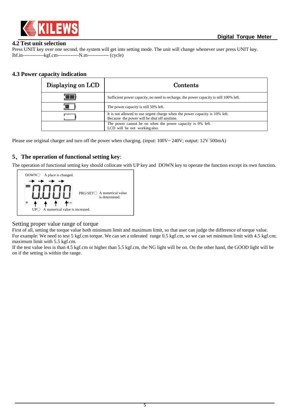

#### **4.2 Test unit selection**

Press UNIT key over one second, the system will get into setting mode. The unit will change whenever user press UNIT key. lbf.in-------------kgf.cm-------------N.m------------- (cycle)

#### **4.3 Power capacity indication**

| Displaying on LCD | Contents                                                                                                                   |  |
|-------------------|----------------------------------------------------------------------------------------------------------------------------|--|
|                   | Sufficient power capacity, no need to recharge, the power capacity is still 100% left.                                     |  |
|                   | The power capacity is still 50% left.                                                                                      |  |
|                   | It is not allowed to use urgent charge when the power capacity is 10% left.<br>Because the power will be shut off anytime. |  |
|                   | The power cannot be on when the power capacity is 0% left.<br>LCD will be not working also.                                |  |

Please use original charger and turn off the power when charging. (input: 100V~ 240V; output: 12V 500mA)

## **5**、**The operation of functional setting key**:

The operation of functional setting key should collocate with UP key and DOWN key to operate the function except its own function.



#### Setting proper value range of torque

First of all, setting the torque value both minimum limit and maximum limit, so that user can judge the difference of torque value. For example: We need to test 5 kgf.cm torque. We can set a tolerated range 0.5 kgf.cm, so we can set minimum limit with 4.5 kgf.cm; maximum limit with 5.5 kgf.cm.

If the test value less is than 4.5 kgf.cm or higher than 5.5 kgf.cm, the NG light will be on. On the other hand, the GOOD light will be on if the setting is within the range.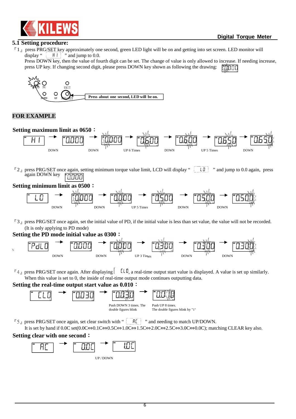

#### **5.1 Setting procedure:**

 $^{\[F\]}$  1 press PRG/SET key approximately one second, green LED light will be on and getting into set screen. LED monitor will display "  $\begin{bmatrix} H & \cdots \\ H & \cdots \end{bmatrix}$  " and jump to 0.0.  $H$   $\parallel$   $\parallel$  " and jump to 0.0.

Press DOWN key, then the value of fourth digit can be set. The change of value is only allowed to increase. If needing increase, press UP key. If changing second digit, please press DOWN key shown as following the drawing: 20000



#### **FOR EXAMPLE**



**Setting the PD mode initial value as 0300**:



 ${}^{\text{F}}4$ <sub>J</sub> press PRG/SET once again. After displaying  $\boxed{\text{[L0]} }$ , a real-time output start value is displayed. A value is set up similarly. When this value is set to 0, the inside of real-time output mode continues outputting data.

#### **Setting the real-time output start value as 0.010**:



 $\sqrt{r}$  5 n press PRG/SET once again, set clear switch with "  $\sqrt{r}$  and needing to match UP/DOWN.

It is set by hand if 0.0C set(0.0C⇔0.1C⇔0.5C⇔1.0C⇔1.5C⇔2.0C⇔2.5C⇔3.0C⇔0.0C); matching CLEAR key also.

## **Setting clear with one second**:

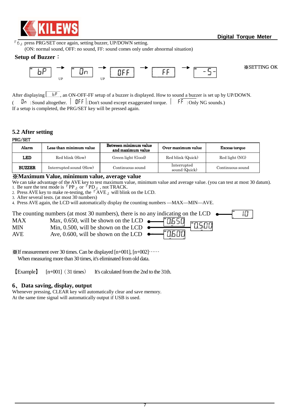

 $\sqrt[\text{F}]{6}$  press PRG/SET once again, setting buzzer, UP/DOWN setting.

(ON: normal sound, OFF: no sound, FF: sound comes only under abnormal situation)

#### **Setup of Buzzer**:



※SETTING OK

After displaying  $\boxed{b^p}$ , an ON-OFF-FF setup of a buzzer is displayed. How to sound a buzzer is set up by UP/DOWN.  $\overline{\mathsf{G}_{\mathsf{P}}\mathsf{F}}$ : Sound altogether.  $\overline{\mathsf{G}_{\mathsf{P}}\mathsf{F}}$ : Don't sound except exaggerated torque.  $\overline{\mathsf{F}_{\mathsf{P}}\mathsf{F}}$ : Only NG sounds.) If a setup is completed, the PRG/SET key will be pressed again.

## **5.2 After setting**

PRG/SET

| Alarm         | Less than minimum value  | Between minimum value<br>and maximum value | Over maximum value           | <b>Excess torque</b> |
|---------------|--------------------------|--------------------------------------------|------------------------------|----------------------|
| <b>LED</b>    | Red blink (Slow)         | Green light (Good)                         | Red blink (Quick)            | Red light (NG)       |
| <b>BUZZER</b> | Interrupted sound (Slow) | Continuous sound                           | Interrupted<br>sound (Quick) | Continuous sound     |

#### ※**Maximum Value, minimum value, average value**

We can take advantage of the AVE key to test maximum value, minimum value and average value. (you can test at most 30 datum). 1. Be sure the test mode is  $\ulcorner PP_{\lrcorner}$  or  $\ulcorner PD_{\lrcorner}$ , not TRACK.

2. Press AVE key to make re-testing, the  $\mathbb{F}$  AVE  $_{\mathbb{J}}$  will blink on the LCD.

3. After several tests. (at most 30 numbers)

4. Press AVE again, the LCD will automatically display the counting numbers —MAX—MIN—AVE.

|            | The counting numbers (at most 30 numbers), there is no any indicating on the LCD $\bullet$ |       |  |  |
|------------|--------------------------------------------------------------------------------------------|-------|--|--|
| MAX        |                                                                                            | החפח" |  |  |
| MIN        | Min, 0.500, will be shown on the LCD $\bullet$                                             |       |  |  |
| <b>AVE</b> |                                                                                            |       |  |  |

 $\mathcal{L}$  If measurement over 30 times. Can be displayed [n+001], [n+002]…… When measuring more than 30 times, it's eliminated from old data.

【Example】 [n+001](31 times) It's calculated from the 2nd to the 31th.

## **6**、**Data saving, display, output**

Whenever pressing, CLEAR key will automatically clear and save memory. At the same time signal will automatically output if USB is used.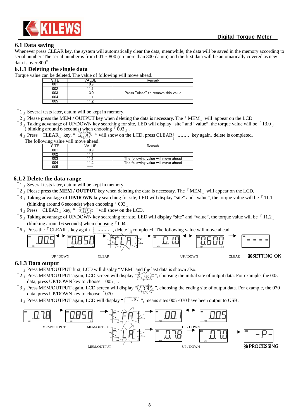

#### **6.1 Data saving**

Whenever press CLEAR key, the system will automatically clear the data, meanwhile, the data will be saved in the memory according to serial number. The serial number is from  $001 \sim 800$  (no more than 800 datum) and the first data will be automatically covered as new data is over 800<sup>th.</sup>

#### **6.1.1 Deleting the single data**

Torque value can be deleted. The value of following will move ahead.

|     | VALUE | Remark                             |
|-----|-------|------------------------------------|
| 001 | 0.9   |                                    |
| 002 |       |                                    |
| 003 | 3.0   | Press "clear" to remove this value |
| 004 |       |                                    |
| 005 | n     |                                    |

- $\lceil 1 \rceil$  Several tests later, datum will be kept in memory.
- $\lceil 2 \rceil$  Please press the MEM / OUTPUT key when deleting the data is necessary. The  $\lceil \text{MEM} \rceil$  will appear on the LCD.
- $\sqrt{3}$  Taking advantage of UP/DOWN key searching for site, LED will display "site" and "value", the torque value will be  $\sqrt{13.0}$ ( blinking around 6 seconds) when choosing  $\sqrt{0.03}$ .
- $\lceil 4 \rceil$  Press  $\lceil$  CLEAR  $\lceil$  key, "  $\leq$   $\lceil \frac{1}{2} \rceil \lceil \frac{1}{2} \rceil$  will show on the LCD, press CLEAR  $\lceil -\frac{1}{2} \rceil$  key again, delete is completed. The following value will move ahead

|     | wing value win move ancau. |                                     |
|-----|----------------------------|-------------------------------------|
|     | 'ALUE                      | Remark                              |
| 001 | 0.9                        |                                     |
| 002 |                            |                                     |
| 003 |                            | The following value will move ahead |
| 004 |                            | The following value will move ahead |
| 005 |                            |                                     |

#### **6.1.2 Delete the data range**

- $\lceil 1 \rceil$  Several tests later, datum will be kept in memory.
- 「2」Please press the **MEM / OUTPUT** key when deleting the data is necessary. The「MEM」will appear on the LCD.
- $\lceil 3 \rceil$  Taking advantage of **UP/DOWN** key searching for site, LED will display "site" and "value", the torque value will be  $\lceil 11.1 \rceil$ (blinking around 6 seconds) when choosing  $\lceil 003 \rfloor$ .
- $\lceil 4 \rfloor$  Press  $\lceil$  CLEAR  $\rfloor$  key, "  $\sum_{i=1}^{\infty} \lceil \frac{1}{i} \rceil$  " will show on the LCD.
- $\lceil 5 \rceil$  Taking advantage of UP/DOWN key searching for site, LED will display "site" and "value", the torque value will be  $\lceil 11.2 \rceil$ (blinking around 6 seconds) when choosing  $\lceil 004 \rceil$ .
- $\lceil 6 \rceil$  Press the  $\lceil$  CLEAR  $\rceil$  key again  $\lceil - \rceil$ , delete is completed. The following value will move ahead.



#### **6.1.3 Data output**

- $\lceil 1 \rceil$  Press MEM/OUTPUT first, LCD will display "MEM" and the last data is shown also.
- $\lceil 2 \rceil$  Press MEM/OUTPUT again, LCD screen will display " $\gtrsim$   $\lceil \frac{2}{\kappa} \rceil$ ", choosing the initial site of output data. For example, the 005 data, press UP/DOWN key to choose  $\lceil 005 \rceil$ .
- $\lceil 3 \rfloor$  Press MEM/OUTPUT again, LCD screen will display " $\bigcirc$  "  $\uparrow$  ", choosing the ending site of output data. For example, the 070 data, press UP/DOWN key to choose「070」.
- $\lceil 4 \rceil$  Press MEM/OUTPUT again, LCD will display " $\lceil 9 \rceil$ ", means sites 005~070 have been output to USB.

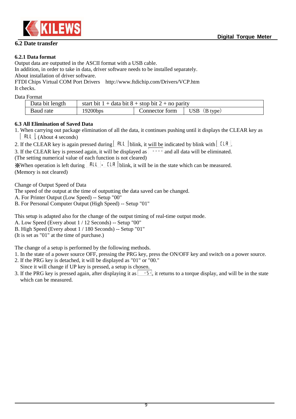

## **6.2 Date transfer**

Output data are outputted in the ASCII format with a USB cable.

In addition, in order to take in data, driver software needs to be installed separately. About installation of driver software.

FTDI Chips Virtual COM Port Drivers http://www.ftdichip.com/Drivers/VCP.htm It checks.

Data Format

| Data bit length | start bit $1 +$ data bit $8 +$ stop bit $2 +$ no parity |                |                      |
|-----------------|---------------------------------------------------------|----------------|----------------------|
| Baud rate       | 19200bps                                                | Connector form | $\vert$ USB (B type) |

#### **6.3 All Elimination of Saved Data**

1. When carrying out package elimination of all the data, it continues pushing until it displays the CLEAR key as  $\mathsf{ALL}$ . (About 4 seconds)

2. If the CLEAR key is again pressed during  $\begin{bmatrix} R_L L \\ \end{bmatrix}$  blink, it will be indicated by blink with  $\begin{bmatrix} L & R \\ \end{bmatrix}$ .

3. If the CLEAR key is pressed again, it will be displayed as  $\boxed{\cdots}$  and all data will be eliminated. (The setting numerical value of each function is not cleared)

 $\mathbb{X}$ When operation is left during  $\begin{bmatrix} \mathsf{RLL} \end{bmatrix}$ . [LR] blink, it will be in the state which can be measured. (Memory is not cleared)

Change of Output Speed of Data

The speed of the output at the time of outputting the data saved can be changed.

A. For Printer Output (Low Speed) -- Setup "00"

B. For Personal Computer Output (High Speed) -- Setup "01"

This setup is adapted also for the change of the output timing of real-time output mode.

A. Low Speed (Every about 1 / 12 Seconds) -- Setup "00"

B. High Speed (Every about 1 / 180 Seconds) -- Setup "01"

(It is set as "01" at the time of purchase.)

The change of a setup is performed by the following methods.

- 1. In the state of a power source OFF, pressing the PRG key, press the ON/OFF key and switch on a power source.
- 2. If the PRG key is detached, it will be displayed as "01" or "00." Since it will change if UP key is pressed, a setup is chosen.
- 3. If the PRG key is pressed again, after displaying it as  $\lceil \frac{-5}{2} \rceil$ , it returns to a torque display, and will be in the state which can be measured.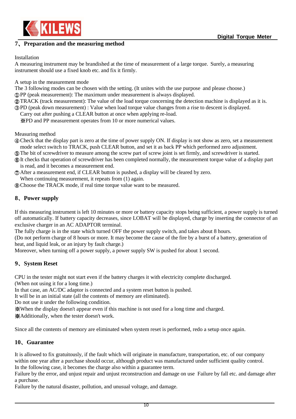

## **7**、**Preparation and the measuring method**

#### Installation

A measuring instrument may be brandished at the time of measurement of a large torque. Surely, a measuring instrument should use a fixed knob etc. and fix it firmly.

A setup in the measurement mode

The 3 following modes can be chosen with the setting. (It unites with the use purpose and please choose.)

荛 PP (peak measurement): The maximum under measurement is always displayed.

荜 TRACK (track measurement): The value of the load torque concerning the detection machine is displayed as it is.

荝 PD (peak down measurement) : Value when load torque value changes from a rise to descent is displayed.

Carry out after pushing a CLEAR button at once when applying re-load.

※PD and PP measurement operates from 10 or more numerical values.

Measuring method

荞 Check that the display part is zero at the time of power supply ON. If display is not show as zero, set a measurement mode select switch to TRACK, push CLEAR button, and set it as back PP which performed zero adjustment.

荟 The bit of screwdriver to measure among the screw part of screw joint is set firmly, and screwdriver is started.

荠 It checks that operation of screwdriver has been completed normally, the measurement torque value of a display part is read, and it becomes a measurement end.

荡 After a measurement end, if CLEAR button is pushed, a display will be cleared by zero.

When continuing measurement, it repeats from (1) again.

荢 Choose the TRACK mode, if real time torque value want to be measured.

## **8**、**Power supply**

If this measuring instrument is left 10 minutes or more or battery capacity stops being sufficient, a power supply is turned off automatically. If battery capacity decreases, since LOBAT will be displayed, charge by inserting the connector of an exclusive charger in an AC ADAPTOR terminal.

The fully charge is in the state which turned OFF the power supply switch, and takes about 8 hours.

(Do not perform charge of 8 hours or more. It may become the cause of the fire by a burst of a battery, generation of heat, and liquid leak, or an injury by fault charge.)

Moreover, when turning off a power supply, a power supply SW is pushed for about 1 second.

## **9**、**System Reset**

CPU in the tester might not start even if the battery charges it with electricity complete discharged.

(When not using it for a long time.)

In that case, an AC/DC adaptor is connected and a system reset button is pushed.

It will be in an initial state (all the contents of memory are eliminated).

Do not use it under the following condition.

※When the display doesn't appear even if this machine is not used for a long time and charged.

※Additionally, when the tester doesn't work.

Since all the contents of memory are eliminated when system reset is performed, redo a setup once again.

## **10**、**Guarantee**

It is allowed to fix gratuitously, if the fault which will originate in manufacture, transportation, etc. of our company within one year after a purchase should occur, although product was manufactured under sufficient quality control. In the following case, it becomes the charge also within a guarantee term.

Failure by the error, and unjust repair and unjust reconstruction and damage on use Failure by fall etc. and damage after a purchase.

Failure by the natural disaster, pollution, and unusual voltage, and damage.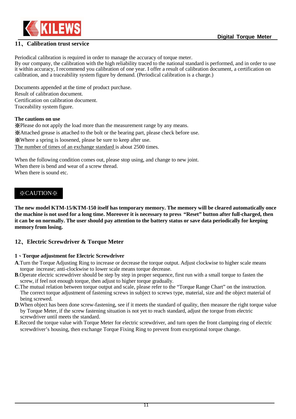

## **11**、**Calibration trust service**

Periodical calibration is required in order to manage the accuracy of torque meter. By our company, the calibration with the high reliability traced to the national standard is performed, and in order to use it within accuracy, I recommend you calibration of one year. I offer a result of calibration document, a certification on calibration, and a traceability system figure by demand. (Periodical calibration is a charge.)

Documents appended at the time of product purchase. Result of calibration document. Certification on calibration document. Traceability system figure.

#### **The cautions on use**

※Please do not apply the load more than the measurement range by any means. ※Attached grease is attached to the bolt or the bearing part, please check before use. ※Where a spring is loosened, please be sure to keep after use. The number of times of an exchange standard is about 2500 times.

When the following condition comes out, please stop using, and change to new joint. When there is bend and wear of a screw thread. When there is sound etc.

## ※CAUTION※

**The new model KTM-15/KTM-150 itself has temporary memory. The memory will be cleared automatically once the machine is not used for a long time. Moreover it is necessary to press "Reset" button after full-charged, then it can be on normally. The user should pay attention to the battery status or save data periodically for keeping memory from losing.**

## **12**、**Electric Screwdriver & Torque Meter**

#### **1**、**Torque adjustment for Electric Screwdriver**

- **A**.Turn the Torque Adjusting Ring to increase or decrease the torque output. Adjust clockwise to higher scale means torque increase; anti-clockwise to lower scale means torque decrease.
- **B**.Operate electric screwdriver should be step by step in proper sequence, first run with a small torque to fasten the screw, if feel not enough torque, then adjust to higher torque gradually.
- **C**.The mutual relation between torque output and scale, please refer to the "Torque Range Chart" on the instruction. The correct torque adjustment of fastening screws in subject to screws type, material, size and the object material of being screwed.
- **D**.When object has been done screw-fastening, see if it meets the standard of quality, then measure the right torque value by Torque Meter, if the screw fastening situation is not yet to reach standard, adjust the torque from electric screwdriver until meets the standard.
- **E**.Record the torque value with Torque Meter for electric screwdriver, and turn open the front clamping ring of electric screwdriver's housing, then exchange Torque Fixing Ring to prevent from exceptional torque change.